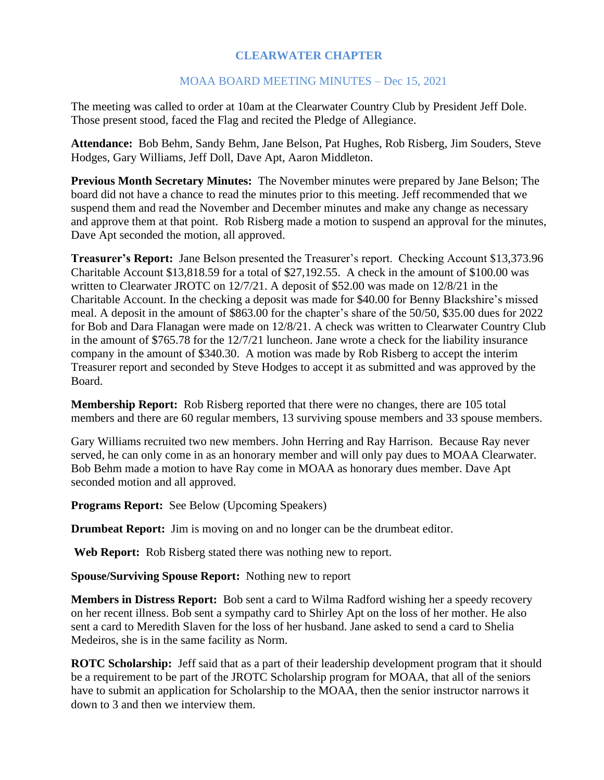## **CLEARWATER CHAPTER**

## MOAA BOARD MEETING MINUTES – Dec 15, 2021

The meeting was called to order at 10am at the Clearwater Country Club by President Jeff Dole. Those present stood, faced the Flag and recited the Pledge of Allegiance.

**Attendance:** Bob Behm, Sandy Behm, Jane Belson, Pat Hughes, Rob Risberg, Jim Souders, Steve Hodges, Gary Williams, Jeff Doll, Dave Apt, Aaron Middleton.

**Previous Month Secretary Minutes:** The November minutes were prepared by Jane Belson; The board did not have a chance to read the minutes prior to this meeting. Jeff recommended that we suspend them and read the November and December minutes and make any change as necessary and approve them at that point. Rob Risberg made a motion to suspend an approval for the minutes, Dave Apt seconded the motion, all approved.

**Treasurer's Report:** Jane Belson presented the Treasurer's report. Checking Account \$13,373.96 Charitable Account \$13,818.59 for a total of \$27,192.55. A check in the amount of \$100.00 was written to Clearwater JROTC on 12/7/21. A deposit of \$52.00 was made on 12/8/21 in the Charitable Account. In the checking a deposit was made for \$40.00 for Benny Blackshire's missed meal. A deposit in the amount of \$863.00 for the chapter's share of the 50/50, \$35.00 dues for 2022 for Bob and Dara Flanagan were made on 12/8/21. A check was written to Clearwater Country Club in the amount of \$765.78 for the 12/7/21 luncheon. Jane wrote a check for the liability insurance company in the amount of \$340.30. A motion was made by Rob Risberg to accept the interim Treasurer report and seconded by Steve Hodges to accept it as submitted and was approved by the Board.

**Membership Report:** Rob Risberg reported that there were no changes, there are 105 total members and there are 60 regular members, 13 surviving spouse members and 33 spouse members.

Gary Williams recruited two new members. John Herring and Ray Harrison. Because Ray never served, he can only come in as an honorary member and will only pay dues to MOAA Clearwater. Bob Behm made a motion to have Ray come in MOAA as honorary dues member. Dave Apt seconded motion and all approved.

**Programs Report:** See Below (Upcoming Speakers)

**Drumbeat Report:** Jim is moving on and no longer can be the drumbeat editor.

**Web Report:** Rob Risberg stated there was nothing new to report.

**Spouse/Surviving Spouse Report:** Nothing new to report

**Members in Distress Report:** Bob sent a card to Wilma Radford wishing her a speedy recovery on her recent illness. Bob sent a sympathy card to Shirley Apt on the loss of her mother. He also sent a card to Meredith Slaven for the loss of her husband. Jane asked to send a card to Shelia Medeiros, she is in the same facility as Norm.

**ROTC Scholarship:** Jeff said that as a part of their leadership development program that it should be a requirement to be part of the JROTC Scholarship program for MOAA, that all of the seniors have to submit an application for Scholarship to the MOAA, then the senior instructor narrows it down to 3 and then we interview them.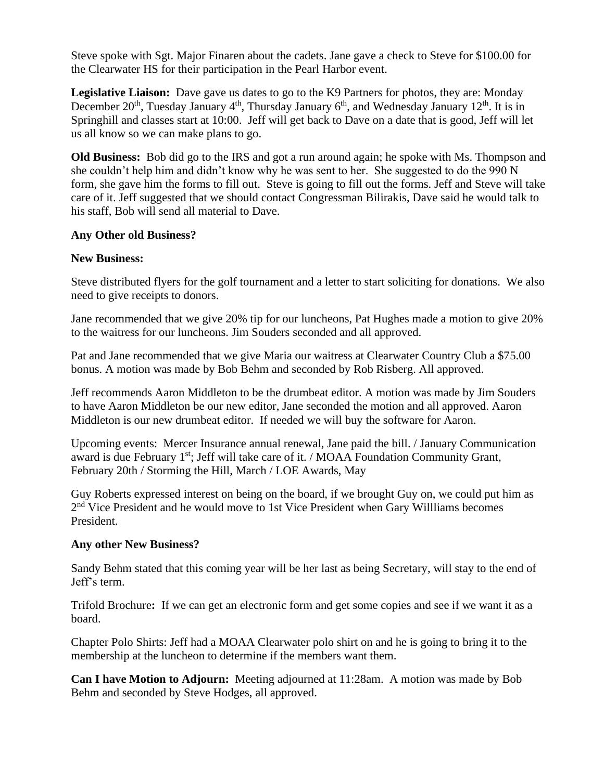Steve spoke with Sgt. Major Finaren about the cadets. Jane gave a check to Steve for \$100.00 for the Clearwater HS for their participation in the Pearl Harbor event.

**Legislative Liaison:** Dave gave us dates to go to the K9 Partners for photos, they are: Monday December  $20<sup>th</sup>$ , Tuesday January 4<sup>th</sup>, Thursday January 6<sup>th</sup>, and Wednesday January 12<sup>th</sup>. It is in Springhill and classes start at 10:00. Jeff will get back to Dave on a date that is good, Jeff will let us all know so we can make plans to go.

**Old Business:** Bob did go to the IRS and got a run around again; he spoke with Ms. Thompson and she couldn't help him and didn't know why he was sent to her. She suggested to do the 990 N form, she gave him the forms to fill out. Steve is going to fill out the forms. Jeff and Steve will take care of it. Jeff suggested that we should contact Congressman Bilirakis, Dave said he would talk to his staff, Bob will send all material to Dave.

#### **Any Other old Business?**

## **New Business:**

Steve distributed flyers for the golf tournament and a letter to start soliciting for donations. We also need to give receipts to donors.

Jane recommended that we give 20% tip for our luncheons, Pat Hughes made a motion to give 20% to the waitress for our luncheons. Jim Souders seconded and all approved.

Pat and Jane recommended that we give Maria our waitress at Clearwater Country Club a \$75.00 bonus. A motion was made by Bob Behm and seconded by Rob Risberg. All approved.

Jeff recommends Aaron Middleton to be the drumbeat editor. A motion was made by Jim Souders to have Aaron Middleton be our new editor, Jane seconded the motion and all approved. Aaron Middleton is our new drumbeat editor. If needed we will buy the software for Aaron.

Upcoming events: Mercer Insurance annual renewal, Jane paid the bill. / January Communication award is due February 1<sup>st</sup>; Jeff will take care of it. / MOAA Foundation Community Grant, February 20th / Storming the Hill, March / LOE Awards, May

Guy Roberts expressed interest on being on the board, if we brought Guy on, we could put him as 2<sup>nd</sup> Vice President and he would move to 1st Vice President when Gary Willliams becomes President.

#### **Any other New Business?**

Sandy Behm stated that this coming year will be her last as being Secretary, will stay to the end of Jeff's term.

Trifold Brochure**:** If we can get an electronic form and get some copies and see if we want it as a board.

Chapter Polo Shirts: Jeff had a MOAA Clearwater polo shirt on and he is going to bring it to the membership at the luncheon to determine if the members want them.

**Can I have Motion to Adjourn:** Meeting adjourned at 11:28am. A motion was made by Bob Behm and seconded by Steve Hodges, all approved.